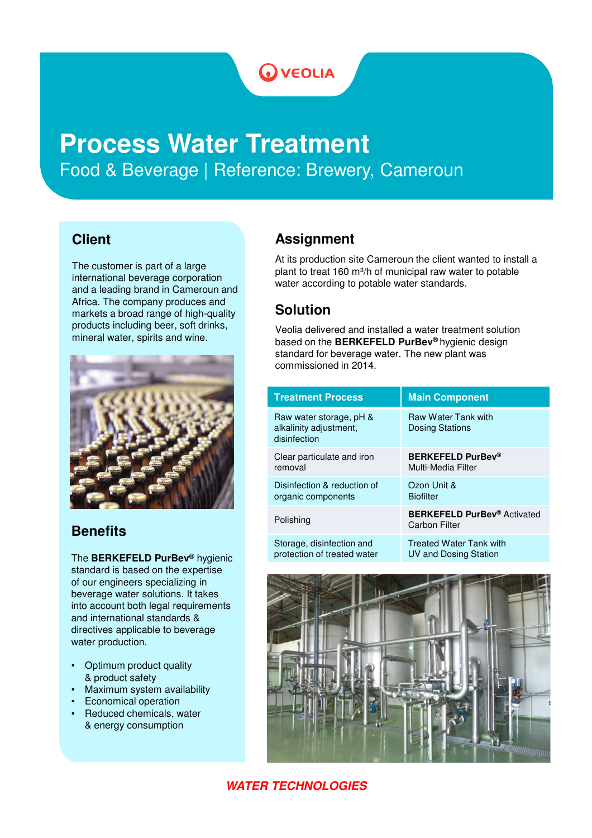# **OVEOLIA**

# **Process Water Treatment** Food & Beverage | Reference: Brewery, Cameroun

#### **Client**

The customer is part of a large international beverage corporation and a leading brand in Cameroun and Africa. The company produces and markets a broad range of high-quality products including beer, soft drinks, mineral water, spirits and wine.



## **Benefits**

The **BERKEFELD PurBev®** hygienic standard is based on the expertise of our engineers specializing in beverage water solutions. It takes into account both legal requirements and international standards & directives applicable to beverage water production.

- Optimum product quality & product safety
- Maximum system availability
- Economical operation
- Reduced chemicals, water & energy consumption

# **Assignment**

At its production site Cameroun the client wanted to install a plant to treat 160 m<sup>3</sup>/h of municipal raw water to potable water according to potable water standards.

### **Solution**

Veolia delivered and installed a water treatment solution based on the **BERKEFELD PurBev®** hygienic design standard for beverage water. The new plant was commissioned in 2014.

| <b>Treatment Process</b>                                          | <b>Main Component</b>                                                 |
|-------------------------------------------------------------------|-----------------------------------------------------------------------|
| Raw water storage, pH &<br>alkalinity adjustment,<br>disinfection | <b>Raw Water Tank with</b><br><b>Dosing Stations</b>                  |
| Clear particulate and iron                                        | <b>BERKEFELD PurBev®</b>                                              |
| removal                                                           | Multi-Media Filter                                                    |
| Disinfection & reduction of                                       | Ozon Unit &                                                           |
| organic components                                                | <b>Biofilter</b>                                                      |
| Polishing                                                         | <b>BERKEFELD PurBev<sup>®</sup></b> Activated<br><b>Carbon Filter</b> |
| Storage, disinfection and                                         | <b>Treated Water Tank with</b>                                        |
| protection of treated water                                       | <b>UV and Dosing Station</b>                                          |



#### **WATER TECHNOLOGIES**